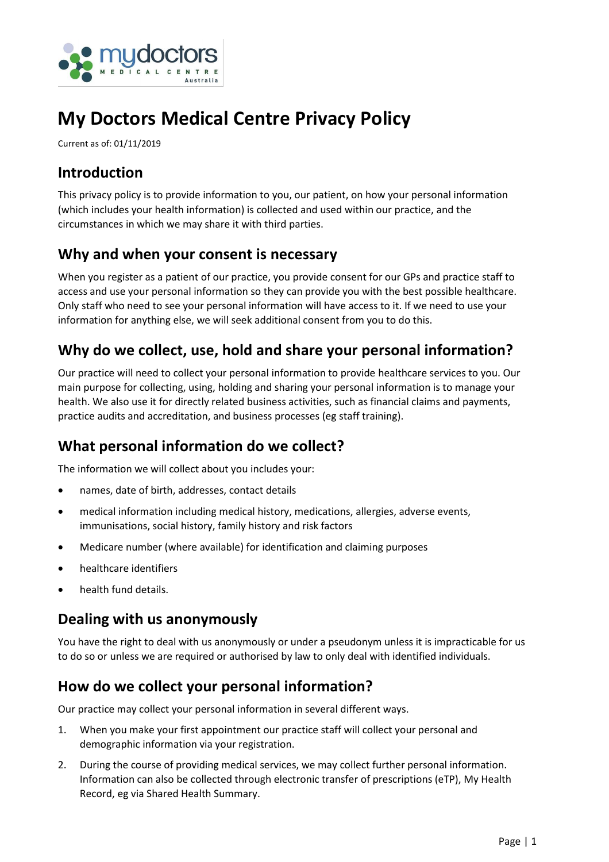

# **My Doctors Medical Centre Privacy Policy**

Current as of: 01/11/2019

#### **Introduction**

This privacy policy is to provide information to you, our patient, on how your personal information (which includes your health information) is collected and used within our practice, and the circumstances in which we may share it with third parties.

#### **Why and when your consent is necessary**

When you register as a patient of our practice, you provide consent for our GPs and practice staff to access and use your personal information so they can provide you with the best possible healthcare. Only staff who need to see your personal information will have access to it. If we need to use your information for anything else, we will seek additional consent from you to do this.

#### **Why do we collect, use, hold and share your personal information?**

Our practice will need to collect your personal information to provide healthcare services to you. Our main purpose for collecting, using, holding and sharing your personal information is to manage your health. We also use it for directly related business activities, such as financial claims and payments, practice audits and accreditation, and business processes (eg staff training).

#### **What personal information do we collect?**

The information we will collect about you includes your:

- names, date of birth, addresses, contact details
- medical information including medical history, medications, allergies, adverse events, immunisations, social history, family history and risk factors
- Medicare number (where available) for identification and claiming purposes
- healthcare identifiers
- health fund details.

## **Dealing with us anonymously**

You have the right to deal with us anonymously or under a pseudonym unless it is impracticable for us to do so or unless we are required or authorised by law to only deal with identified individuals.

#### **How do we collect your personal information?**

Our practice may collect your personal information in several different ways.

- 1. When you make your first appointment our practice staff will collect your personal and demographic information via your registration.
- 2. During the course of providing medical services, we may collect further personal information. Information can also be collected through electronic transfer of prescriptions (eTP), My Health Record, eg via Shared Health Summary.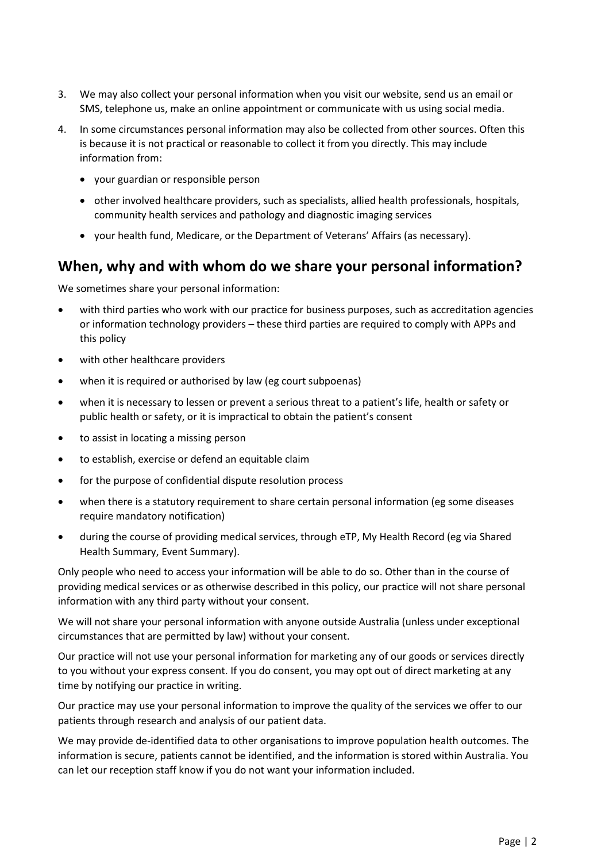- 3. We may also collect your personal information when you visit our website, send us an email or SMS, telephone us, make an online appointment or communicate with us using social media.
- 4. In some circumstances personal information may also be collected from other sources. Often this is because it is not practical or reasonable to collect it from you directly. This may include information from:
	- your guardian or responsible person
	- other involved healthcare providers, such as specialists, allied health professionals, hospitals, community health services and pathology and diagnostic imaging services
	- your health fund, Medicare, or the Department of Veterans' Affairs (as necessary).

#### **When, why and with whom do we share your personal information?**

We sometimes share your personal information:

- with third parties who work with our practice for business purposes, such as accreditation agencies or information technology providers – these third parties are required to comply with APPs and this policy
- with other healthcare providers
- when it is required or authorised by law (eg court subpoenas)
- when it is necessary to lessen or prevent a serious threat to a patient's life, health or safety or public health or safety, or it is impractical to obtain the patient's consent
- to assist in locating a missing person
- to establish, exercise or defend an equitable claim
- for the purpose of confidential dispute resolution process
- when there is a statutory requirement to share certain personal information (eg some diseases require mandatory notification)
- during the course of providing medical services, through eTP, My Health Record (eg via Shared Health Summary, Event Summary).

Only people who need to access your information will be able to do so. Other than in the course of providing medical services or as otherwise described in this policy, our practice will not share personal information with any third party without your consent.

We will not share your personal information with anyone outside Australia (unless under exceptional circumstances that are permitted by law) without your consent.

Our practice will not use your personal information for marketing any of our goods or services directly to you without your express consent. If you do consent, you may opt out of direct marketing at any time by notifying our practice in writing.

Our practice may use your personal information to improve the quality of the services we offer to our patients through research and analysis of our patient data.

We may provide de-identified data to other organisations to improve population health outcomes. The information is secure, patients cannot be identified, and the information is stored within Australia. You can let our reception staff know if you do not want your information included.